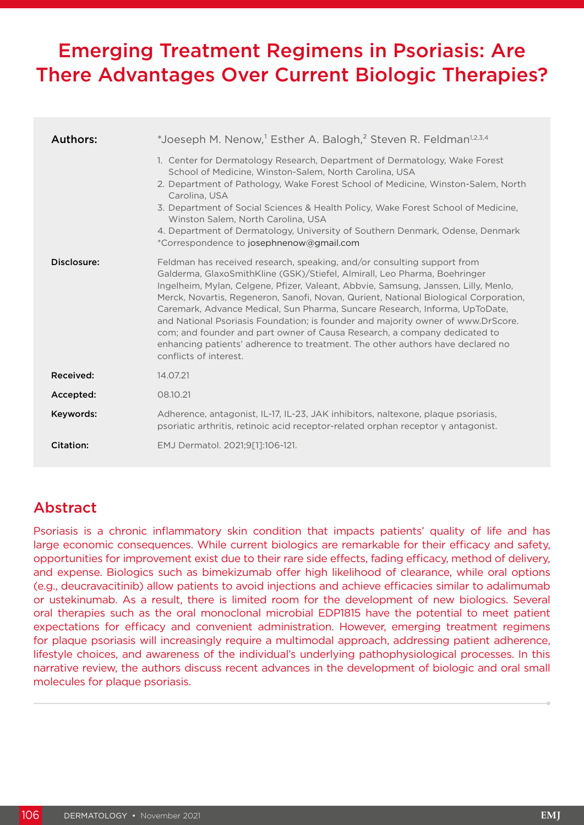# Emerging Treatment Regimens in Psoriasis: Are There Advantages Over Current Biologic Therapies?

| Authors:<br>Disclosure: | *Joeseph M. Nenow, <sup>1</sup> Esther A. Balogh, <sup>2</sup> Steven R. Feldman <sup>1,2,3,4</sup><br>1. Center for Dermatology Research, Department of Dermatology, Wake Forest<br>School of Medicine, Winston-Salem, North Carolina, USA<br>2. Department of Pathology, Wake Forest School of Medicine, Winston-Salem, North<br>Carolina, USA<br>3. Department of Social Sciences & Health Policy, Wake Forest School of Medicine,<br>Winston Salem, North Carolina, USA<br>4. Department of Dermatology, University of Southern Denmark, Odense, Denmark<br>*Correspondence to josephnenow@gmail.com<br>Feldman has received research, speaking, and/or consulting support from<br>Galderma, GlaxoSmithKline (GSK)/Stiefel, Almirall, Leo Pharma, Boehringer<br>Ingelheim, Mylan, Celgene, Pfizer, Valeant, Abbvie, Samsung, Janssen, Lilly, Menlo,<br>Merck, Novartis, Regeneron, Sanofi, Novan, Qurient, National Biological Corporation,<br>Caremark, Advance Medical, Sun Pharma, Suncare Research, Informa, UpToDate,<br>and National Psoriasis Foundation; is founder and majority owner of www.DrScore.<br>com; and founder and part owner of Causa Research, a company dedicated to<br>enhancing patients' adherence to treatment. The other authors have declared no |
|-------------------------|-----------------------------------------------------------------------------------------------------------------------------------------------------------------------------------------------------------------------------------------------------------------------------------------------------------------------------------------------------------------------------------------------------------------------------------------------------------------------------------------------------------------------------------------------------------------------------------------------------------------------------------------------------------------------------------------------------------------------------------------------------------------------------------------------------------------------------------------------------------------------------------------------------------------------------------------------------------------------------------------------------------------------------------------------------------------------------------------------------------------------------------------------------------------------------------------------------------------------------------------------------------------------------------|
| Received:               | conflicts of interest.<br>14.07.21                                                                                                                                                                                                                                                                                                                                                                                                                                                                                                                                                                                                                                                                                                                                                                                                                                                                                                                                                                                                                                                                                                                                                                                                                                                |
| Accepted:               | 08.10.21                                                                                                                                                                                                                                                                                                                                                                                                                                                                                                                                                                                                                                                                                                                                                                                                                                                                                                                                                                                                                                                                                                                                                                                                                                                                          |
| Keywords:               | Adherence, antagonist, IL-17, IL-23, JAK inhibitors, naltexone, plaque psoriasis,<br>psoriatic arthritis, retinoic acid receptor-related orphan receptor y antagonist.                                                                                                                                                                                                                                                                                                                                                                                                                                                                                                                                                                                                                                                                                                                                                                                                                                                                                                                                                                                                                                                                                                            |
| Citation:               | EMJ Dermatol. 2021;9[1]:106-121.                                                                                                                                                                                                                                                                                                                                                                                                                                                                                                                                                                                                                                                                                                                                                                                                                                                                                                                                                                                                                                                                                                                                                                                                                                                  |

# Abstract

Psoriasis is a chronic inflammatory skin condition that impacts patients' quality of life and has large economic consequences. While current biologics are remarkable for their efficacy and safety, opportunities for improvement exist due to their rare side effects, fading efficacy, method of delivery, and expense. Biologics such as bimekizumab offer high likelihood of clearance, while oral options (e.g., deucravacitinib) allow patients to avoid injections and achieve efficacies similar to adalimumab or ustekinumab. As a result, there is limited room for the development of new biologics. Several oral therapies such as the oral monoclonal microbial EDP1815 have the potential to meet patient expectations for efficacy and convenient administration. However, emerging treatment regimens for plaque psoriasis will increasingly require a multimodal approach, addressing patient adherence, lifestyle choices, and awareness of the individual's underlying pathophysiological processes. In this narrative review, the authors discuss recent advances in the development of biologic and oral small molecules for plaque psoriasis.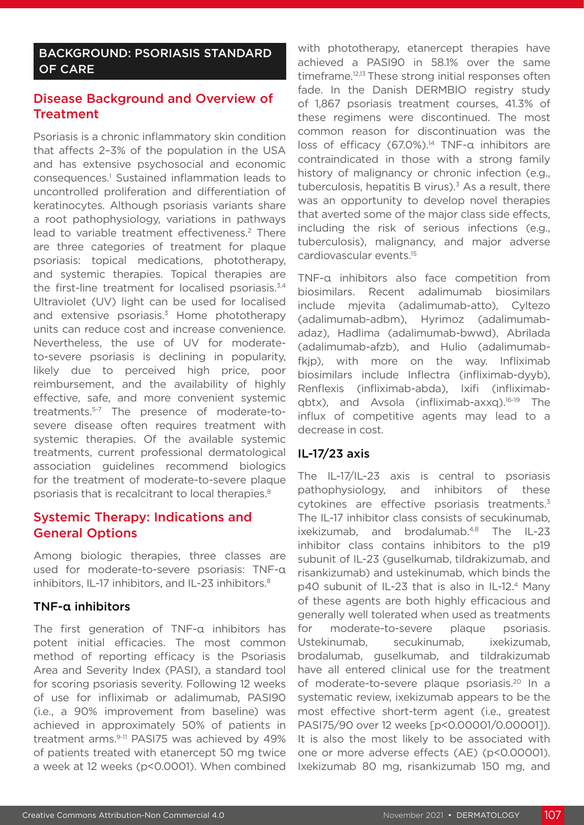# BACKGROUND: PSORIASIS STANDARD OF CARE

# Disease Background and Overview of **Treatment**

Psoriasis is a chronic inflammatory skin condition that affects 2–3% of the population in the USA and has extensive psychosocial and economic consequences.1 Sustained inflammation leads to uncontrolled proliferation and differentiation of keratinocytes. Although psoriasis variants share a root pathophysiology, variations in pathways lead to variable treatment effectiveness.<sup>2</sup> There are three categories of treatment for plaque psoriasis: topical medications, phototherapy, and systemic therapies. Topical therapies are the first-line treatment for localised psoriasis. $3,4$ Ultraviolet (UV) light can be used for localised and extensive psoriasis. $3$  Home phototherapy units can reduce cost and increase convenience. Nevertheless, the use of UV for moderateto-severe psoriasis is declining in popularity, likely due to perceived high price, poor reimbursement, and the availability of highly effective, safe, and more convenient systemic treatments.5-7 The presence of moderate-tosevere disease often requires treatment with systemic therapies. Of the available systemic treatments, current professional dermatological association guidelines recommend biologics for the treatment of moderate-to-severe plaque psoriasis that is recalcitrant to local therapies.8

# Systemic Therapy: Indications and General Options

Among biologic therapies, three classes are used for moderate-to-severe psoriasis: TNF-α inhibitors, IL-17 inhibitors, and IL-23 inhibitors.<sup>8</sup>

# TNF-α inhibitors

The first generation of TNF-α inhibitors has potent initial efficacies. The most common method of reporting efficacy is the Psoriasis Area and Severity Index (PASI), a standard tool for scoring psoriasis severity. Following 12 weeks of use for infliximab or adalimumab, PASI90 (i.e., a 90% improvement from baseline) was achieved in approximately 50% of patients in treatment arms.<sup>9-11</sup> PASI75 was achieved by 49% of patients treated with etanercept 50 mg twice a week at 12 weeks (p<0.0001). When combined with phototherapy, etanercept therapies have achieved a PASI90 in 58.1% over the same timeframe.<sup>12,13</sup> These strong initial responses often fade. In the Danish DERMBIO registry study of 1,867 psoriasis treatment courses, 41.3% of these regimens were discontinued. The most common reason for discontinuation was the loss of efficacy (67.0%).<sup>14</sup> TNF-α inhibitors are contraindicated in those with a strong family history of malignancy or chronic infection (e.g., tuberculosis, hepatitis B virus). $3$  As a result, there was an opportunity to develop novel therapies that averted some of the major class side effects, including the risk of serious infections (e.g., tuberculosis), malignancy, and major adverse cardiovascular events.15

TNF-α inhibitors also face competition from biosimilars. Recent adalimumab biosimilars include mjevita (adalimumab-atto), Cyltezo (adalimumab-adbm), Hyrimoz (adalimumabadaz), Hadlima (adalimumab-bwwd), Abrilada (adalimumab-afzb), and Hulio (adalimumabfkip), with more on the way. Infliximab biosimilars include Inflectra (infliximab-dyyb), Renflexis (infliximab-abda), Ixifi (infliximabqbtx), and Avsola (infliximab-axxq).16-19 The influx of competitive agents may lead to a decrease in cost.

# IL-17/23 axis

The IL-17/IL-23 axis is central to psoriasis pathophysiology, and inhibitors of these cytokines are effective psoriasis treatments.<sup>3</sup> The IL-17 inhibitor class consists of secukinumab, ixekizumab, and brodalumab.<sup>4,8</sup> The IL-23 inhibitor class contains inhibitors to the p19 subunit of IL-23 (guselkumab, tildrakizumab, and risankizumab) and ustekinumab, which binds the p40 subunit of IL-23 that is also in IL-12.4 Many of these agents are both highly efficacious and generally well tolerated when used as treatments for moderate-to-severe plaque psoriasis. Ustekinumab, secukinumab, ixekizumab, brodalumab, guselkumab, and tildrakizumab have all entered clinical use for the treatment of moderate-to-severe plaque psoriasis.20 In a systematic review, ixekizumab appears to be the most effective short-term agent (i.e., greatest PASI75/90 over 12 weeks [p<0.00001/0.00001]). It is also the most likely to be associated with one or more adverse effects (AE) (p<0.00001). Ixekizumab 80 mg, risankizumab 150 mg, and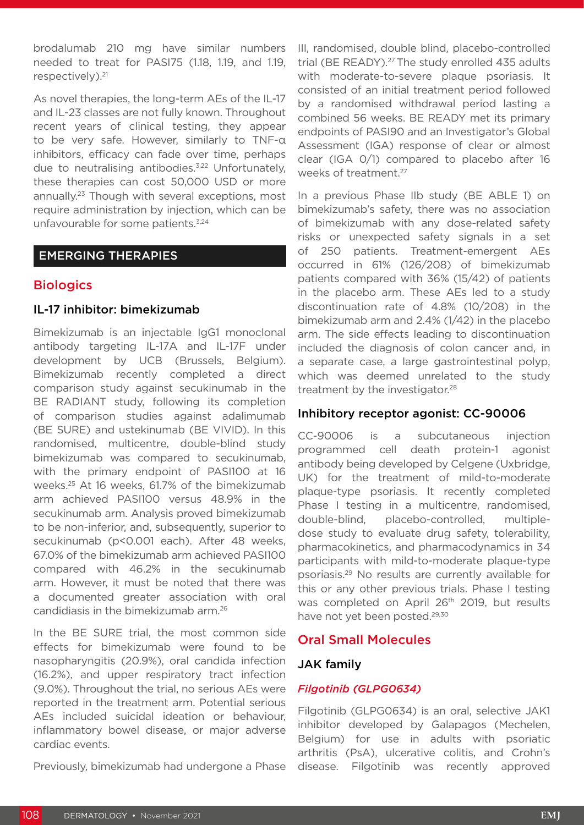brodalumab 210 mg have similar numbers needed to treat for PASI75 (1.18, 1.19, and 1.19, respectively).21

As novel therapies, the long-term AEs of the IL-17 and IL-23 classes are not fully known. Throughout recent years of clinical testing, they appear to be very safe. However, similarly to TNF-α inhibitors, efficacy can fade over time, perhaps due to neutralising antibodies.<sup>3,22</sup> Unfortunately, these therapies can cost 50,000 USD or more annually.23 Though with several exceptions, most require administration by injection, which can be unfavourable for some patients.<sup>3,24</sup>

# EMERGING THERAPIES

# **Biologics**

# IL-17 inhibitor: bimekizumab

Bimekizumab is an injectable IgG1 monoclonal antibody targeting IL-17A and IL-17F under development by UCB (Brussels, Belgium). Bimekizumab recently completed a direct comparison study against secukinumab in the BE RADIANT study, following its completion of comparison studies against adalimumab (BE SURE) and ustekinumab (BE VIVID). In this randomised, multicentre, double-blind study bimekizumab was compared to secukinumab, with the primary endpoint of PASI100 at 16 weeks.25 At 16 weeks, 61.7% of the bimekizumab arm achieved PASI100 versus 48.9% in the secukinumab arm. Analysis proved bimekizumab to be non-inferior, and, subsequently, superior to secukinumab (p<0.001 each). After 48 weeks, 67.0% of the bimekizumab arm achieved PASI100 compared with 46.2% in the secukinumab arm. However, it must be noted that there was a documented greater association with oral candidiasis in the bimekizumab arm.26

In the BE SURE trial, the most common side effects for bimekizumab were found to be nasopharyngitis (20.9%), oral candida infection (16.2%), and upper respiratory tract infection (9.0%). Throughout the trial, no serious AEs were reported in the treatment arm. Potential serious AEs included suicidal ideation or behaviour, inflammatory bowel disease, or major adverse cardiac events.

Previously, bimekizumab had undergone a Phase

III, randomised, double blind, placebo-controlled trial (BE READY).<sup>27</sup> The study enrolled 435 adults with moderate-to-severe plaque psoriasis. It consisted of an initial treatment period followed by a randomised withdrawal period lasting a combined 56 weeks. BE READY met its primary endpoints of PASI90 and an Investigator's Global Assessment (IGA) response of clear or almost clear (IGA 0/1) compared to placebo after 16 weeks of treatment.<sup>27</sup>

In a previous Phase IIb study (BE ABLE 1) on bimekizumab's safety, there was no association of bimekizumab with any dose-related safety risks or unexpected safety signals in a set of 250 patients. Treatment-emergent AEs occurred in 61% (126/208) of bimekizumab patients compared with 36% (15/42) of patients in the placebo arm. These AEs led to a study discontinuation rate of 4.8% (10/208) in the bimekizumab arm and 2.4% (1/42) in the placebo arm. The side effects leading to discontinuation included the diagnosis of colon cancer and, in a separate case, a large gastrointestinal polyp, which was deemed unrelated to the study treatment by the investigator.<sup>28</sup>

## Inhibitory receptor agonist: CC-90006

CC-90006 is a subcutaneous injection programmed cell death protein-1 agonist antibody being developed by Celgene (Uxbridge, UK) for the treatment of mild-to-moderate plaque-type psoriasis. It recently completed Phase I testing in a multicentre, randomised, double-blind, placebo-controlled, multipledose study to evaluate drug safety, tolerability, pharmacokinetics, and pharmacodynamics in 34 participants with mild-to-moderate plaque-type psoriasis.29 No results are currently available for this or any other previous trials. Phase I testing was completed on April 26<sup>th</sup> 2019, but results have not yet been posted.<sup>29,30</sup>

# Oral Small Molecules

# JAK family

## *Filgotinib (GLPG0634)*

Filgotinib (GLPG0634) is an oral, selective JAK1 inhibitor developed by Galapagos (Mechelen, Belgium) for use in adults with psoriatic arthritis (PsA), ulcerative colitis, and Crohn's disease. Filgotinib was recently approved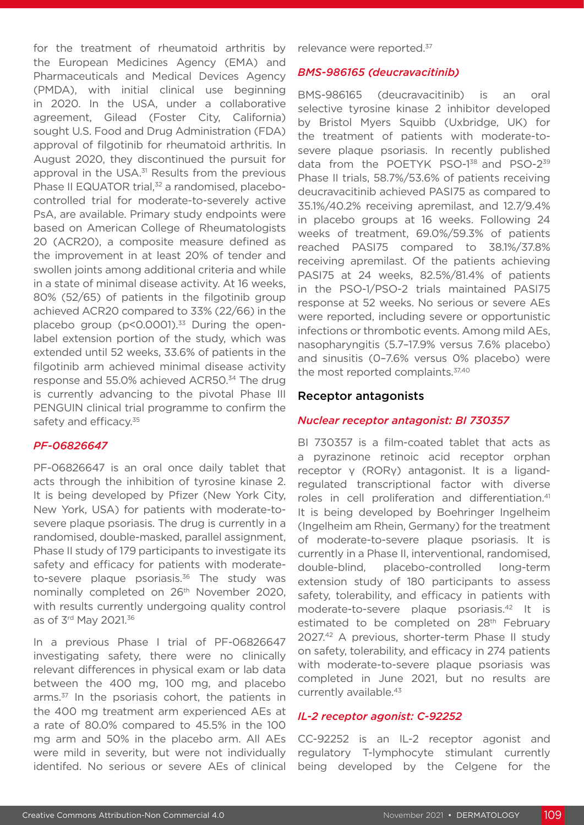for the treatment of rheumatoid arthritis by the European Medicines Agency (EMA) and Pharmaceuticals and Medical Devices Agency (PMDA), with initial clinical use beginning in 2020. In the USA, under a collaborative agreement, Gilead (Foster City, California) sought U.S. Food and Drug Administration (FDA) approval of filgotinib for rheumatoid arthritis. In August 2020, they discontinued the pursuit for approval in the USA.<sup>31</sup> Results from the previous Phase II EQUATOR trial,<sup>32</sup> a randomised, placebocontrolled trial for moderate-to-severely active PsA, are available. Primary study endpoints were based on American College of Rheumatologists 20 (ACR20), a composite measure defined as the improvement in at least 20% of tender and swollen joints among additional criteria and while in a state of minimal disease activity. At 16 weeks, 80% (52/65) of patients in the filgotinib group achieved ACR20 compared to 33% (22/66) in the placebo group ( $p$ <0.0001).<sup>33</sup> During the openlabel extension portion of the study, which was extended until 52 weeks, 33.6% of patients in the filgotinib arm achieved minimal disease activity response and 55.0% achieved ACR50.34 The drug is currently advancing to the pivotal Phase III PENGUIN clinical trial programme to confirm the safety and efficacy.<sup>35</sup>

## *PF-06826647*

PF-06826647 is an oral once daily tablet that acts through the inhibition of tyrosine kinase 2. It is being developed by Pfizer (New York City, New York, USA) for patients with moderate-tosevere plaque psoriasis. The drug is currently in a randomised, double-masked, parallel assignment, Phase II study of 179 participants to investigate its safety and efficacy for patients with moderateto-severe plaque psoriasis.<sup>36</sup> The study was nominally completed on 26<sup>th</sup> November 2020, with results currently undergoing quality control as of 3rd May 2021.36

In a previous Phase I trial of PF-06826647 investigating safety, there were no clinically relevant differences in physical exam or lab data between the 400 mg, 100 mg, and placebo arms.<sup>37</sup> In the psoriasis cohort, the patients in the 400 mg treatment arm experienced AEs at a rate of 80.0% compared to 45.5% in the 100 mg arm and 50% in the placebo arm. All AEs were mild in severity, but were not individually identifed. No serious or severe AEs of clinical

relevance were reported.<sup>37</sup>

#### *BMS-986165 (deucravacitinib)*

BMS-986165 (deucravacitinib) is an oral selective tyrosine kinase 2 inhibitor developed by Bristol Myers Squibb (Uxbridge, UK) for the treatment of patients with moderate-tosevere plaque psoriasis. In recently published data from the POETYK PSO-1<sup>38</sup> and PSO-2<sup>39</sup> Phase II trials, 58.7%/53.6% of patients receiving deucravacitinib achieved PASI75 as compared to 35.1%/40.2% receiving apremilast, and 12.7/9.4% in placebo groups at 16 weeks. Following 24 weeks of treatment, 69.0%/59.3% of patients reached PASI75 compared to 38.1%/37.8% receiving apremilast. Of the patients achieving PASI75 at 24 weeks, 82.5%/81.4% of patients in the PSO-1/PSO-2 trials maintained PASI75 response at 52 weeks. No serious or severe AEs were reported, including severe or opportunistic infections or thrombotic events. Among mild AEs, nasopharyngitis (5.7–17.9% versus 7.6% placebo) and sinusitis (0–7.6% versus 0% placebo) were the most reported complaints.<sup>37,40</sup>

#### Receptor antagonists

#### *Nuclear receptor antagonist: BI 730357*

BI 730357 is a film-coated tablet that acts as a pyrazinone retinoic acid receptor orphan receptor γ (RORγ) antagonist. It is a ligandregulated transcriptional factor with diverse roles in cell proliferation and differentiation.<sup>41</sup> It is being developed by Boehringer Ingelheim (Ingelheim am Rhein, Germany) for the treatment of moderate-to-severe plaque psoriasis. It is currently in a Phase II, interventional, randomised, double-blind, placebo-controlled long-term extension study of 180 participants to assess safety, tolerability, and efficacy in patients with moderate-to-severe plaque psoriasis.42 It is estimated to be completed on 28<sup>th</sup> February 2027.42 A previous, shorter-term Phase II study on safety, tolerability, and efficacy in 274 patients with moderate-to-severe plaque psoriasis was completed in June 2021, but no results are currently available.43

### *IL-2 receptor agonist: C-92252*

CC-92252 is an IL-2 receptor agonist and regulatory T-lymphocyte stimulant currently being developed by the Celgene for the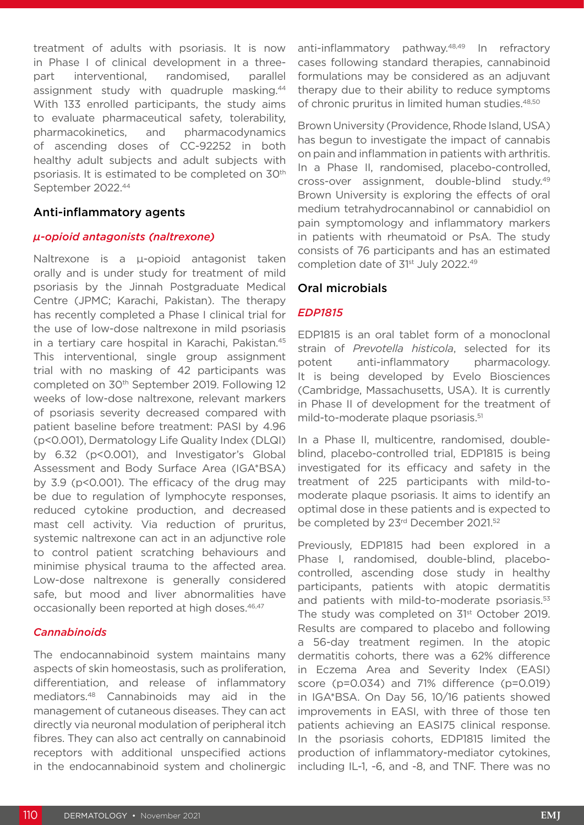treatment of adults with psoriasis. It is now in Phase I of clinical development in a threepart interventional, randomised, parallel assignment study with quadruple masking.<sup>44</sup> With 133 enrolled participants, the study aims to evaluate pharmaceutical safety, tolerability, pharmacokinetics, and pharmacodynamics of ascending doses of CC-92252 in both healthy adult subjects and adult subjects with psoriasis. It is estimated to be completed on 30<sup>th</sup> September 2022.44

## Anti-inflammatory agents

## *µ-opioid antagonists (naltrexone)*

Naltrexone is a µ-opioid antagonist taken orally and is under study for treatment of mild psoriasis by the Jinnah Postgraduate Medical Centre (JPMC; Karachi, Pakistan). The therapy has recently completed a Phase I clinical trial for the use of low-dose naltrexone in mild psoriasis in a tertiary care hospital in Karachi, Pakistan.<sup>45</sup> This interventional, single group assignment trial with no masking of 42 participants was completed on 30th September 2019. Following 12 weeks of low-dose naltrexone, relevant markers of psoriasis severity decreased compared with patient baseline before treatment: PASI by 4.96 (p<0.001), Dermatology Life Quality Index (DLQI) by 6.32 (p<0.001), and Investigator's Global Assessment and Body Surface Area (IGA\*BSA) by 3.9 (p<0.001). The efficacy of the drug may be due to regulation of lymphocyte responses, reduced cytokine production, and decreased mast cell activity. Via reduction of pruritus, systemic naltrexone can act in an adjunctive role to control patient scratching behaviours and minimise physical trauma to the affected area. Low-dose naltrexone is generally considered safe, but mood and liver abnormalities have occasionally been reported at high doses.<sup>46,47</sup>

## *Cannabinoids*

The endocannabinoid system maintains many aspects of skin homeostasis, such as proliferation, differentiation, and release of inflammatory mediators.48 Cannabinoids may aid in the management of cutaneous diseases. They can act directly via neuronal modulation of peripheral itch fibres. They can also act centrally on cannabinoid receptors with additional unspecified actions in the endocannabinoid system and cholinergic anti-inflammatory pathway.<sup>48,49</sup> In refractory cases following standard therapies, cannabinoid formulations may be considered as an adjuvant therapy due to their ability to reduce symptoms of chronic pruritus in limited human studies.48,50

Brown University (Providence, Rhode Island, USA) has begun to investigate the impact of cannabis on pain and inflammation in patients with arthritis. In a Phase II, randomised, placebo-controlled, cross-over assignment, double-blind study.49 Brown University is exploring the effects of oral medium tetrahydrocannabinol or cannabidiol on pain symptomology and inflammatory markers in patients with rheumatoid or PsA. The study consists of 76 participants and has an estimated completion date of 31<sup>st</sup> July 2022.<sup>49</sup>

## Oral microbials

## *EDP1815*

EDP1815 is an oral tablet form of a monoclonal strain of *Prevotella histicola*, selected for its potent anti-inflammatory pharmacology. It is being developed by Evelo Biosciences (Cambridge, Massachusetts, USA). It is currently in Phase II of development for the treatment of mild-to-moderate plaque psoriasis.<sup>51</sup>

In a Phase II, multicentre, randomised, doubleblind, placebo-controlled trial, EDP1815 is being investigated for its efficacy and safety in the treatment of 225 participants with mild-tomoderate plaque psoriasis. It aims to identify an optimal dose in these patients and is expected to be completed by 23<sup>rd</sup> December 2021.<sup>52</sup>

Previously, EDP1815 had been explored in a Phase I, randomised, double-blind, placebocontrolled, ascending dose study in healthy participants, patients with atopic dermatitis and patients with mild-to-moderate psoriasis.<sup>53</sup> The study was completed on 31<sup>st</sup> October 2019. Results are compared to placebo and following a 56-day treatment regimen. In the atopic dermatitis cohorts, there was a 62% difference in Eczema Area and Severity Index (EASI) score (p=0.034) and 71% difference (p=0.019) in IGA\*BSA. On Day 56, 10/16 patients showed improvements in EASI, with three of those ten patients achieving an EASI75 clinical response. In the psoriasis cohorts, EDP1815 limited the production of inflammatory-mediator cytokines, including IL-1, -6, and -8, and TNF. There was no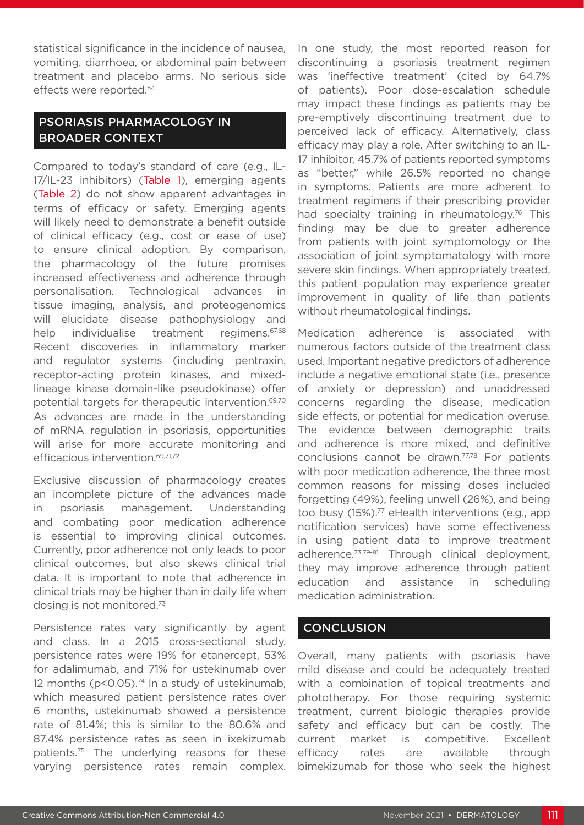statistical significance in the incidence of nausea, vomiting, diarrhoea, or abdominal pain between treatment and placebo arms. No serious side effects were reported.54

# PSORIASIS PHARMACOLOGY IN BROADER CONTEXT

Compared to today's standard of care (e.g., IL-17/IL-23 inhibitors) (Table 1), emerging agents (Table 2) do not show apparent advantages in terms of efficacy or safety. Emerging agents will likely need to demonstrate a benefit outside of clinical efficacy (e.g., cost or ease of use) to ensure clinical adoption. By comparison, the pharmacology of the future promises increased effectiveness and adherence through personalisation. Technological advances in tissue imaging, analysis, and proteogenomics will elucidate disease pathophysiology and help individualise treatment regimens.<sup>67,68</sup> Recent discoveries in inflammatory marker and regulator systems (including pentraxin, receptor-acting protein kinases, and mixedlineage kinase domain-like pseudokinase) offer potential targets for therapeutic intervention.69,70 As advances are made in the understanding of mRNA regulation in psoriasis, opportunities will arise for more accurate monitoring and efficacious intervention.69,71,72

Exclusive discussion of pharmacology creates an incomplete picture of the advances made in psoriasis management. Understanding and combating poor medication adherence is essential to improving clinical outcomes. Currently, poor adherence not only leads to poor clinical outcomes, but also skews clinical trial data. It is important to note that adherence in clinical trials may be higher than in daily life when dosing is not monitored.73

Persistence rates vary significantly by agent and class. In a 2015 cross-sectional study, persistence rates were 19% for etanercept, 53% for adalimumab, and 71% for ustekinumab over 12 months ( $p$ <0.05).<sup>74</sup> In a study of ustekinumab, which measured patient persistence rates over 6 months, ustekinumab showed a persistence rate of 81.4%; this is similar to the 80.6% and 87.4% persistence rates as seen in ixekizumab patients.75 The underlying reasons for these varying persistence rates remain complex.

In one study, the most reported reason for discontinuing a psoriasis treatment regimen was 'ineffective treatment' (cited by 64.7% of patients). Poor dose-escalation schedule may impact these findings as patients may be pre-emptively discontinuing treatment due to perceived lack of efficacy. Alternatively, class efficacy may play a role. After switching to an IL-17 inhibitor, 45.7% of patients reported symptoms as "better," while 26.5% reported no change in symptoms. Patients are more adherent to treatment regimens if their prescribing provider had specialty training in rheumatology.<sup>76</sup> This finding may be due to greater adherence from patients with joint symptomology or the association of joint symptomatology with more severe skin findings. When appropriately treated, this patient population may experience greater improvement in quality of life than patients without rheumatological findings.

Medication adherence is associated with numerous factors outside of the treatment class used. Important negative predictors of adherence include a negative emotional state (i.e., presence of anxiety or depression) and unaddressed concerns regarding the disease, medication side effects, or potential for medication overuse. The evidence between demographic traits and adherence is more mixed, and definitive conclusions cannot be drawn.<sup>77,78</sup> For patients with poor medication adherence, the three most common reasons for missing doses included forgetting (49%), feeling unwell (26%), and being too busy (15%).77 eHealth interventions (e.g., app notification services) have some effectiveness in using patient data to improve treatment adherence.<sup>73,79-81</sup> Through clinical deployment, they may improve adherence through patient education and assistance in scheduling medication administration.

# **CONCLUSION**

Overall, many patients with psoriasis have mild disease and could be adequately treated with a combination of topical treatments and phototherapy. For those requiring systemic treatment, current biologic therapies provide safety and efficacy but can be costly. The current market is competitive. Excellent efficacy rates are available through bimekizumab for those who seek the highest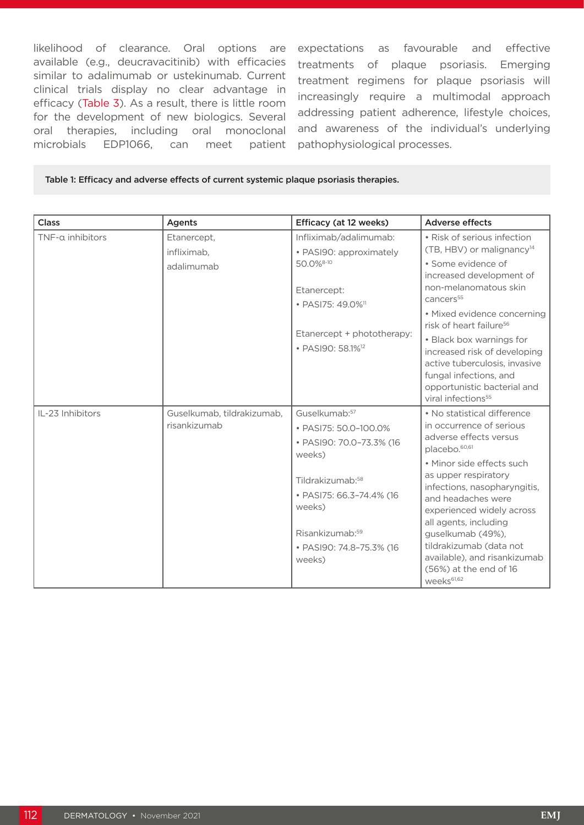likelihood of clearance. Oral options are available (e.g., deucravacitinib) with efficacies similar to adalimumab or ustekinumab. Current clinical trials display no clear advantage in efficacy (Table 3). As a result, there is little room for the development of new biologics. Several oral therapies, including oral monoclonal microbials EDP1066, can meet patient

expectations as favourable and effective treatments of plaque psoriasis. Emerging treatment regimens for plaque psoriasis will increasingly require a multimodal approach addressing patient adherence, lifestyle choices, and awareness of the individual's underlying pathophysiological processes.

#### Table 1: Efficacy and adverse effects of current systemic plaque psoriasis therapies.

| <b>Class</b>     | Agents                                     | Efficacy (at 12 weeks)                                                                                                                                                                                                              | <b>Adverse effects</b>                                                                                                                                                                                                                                                                                                                                                                                                                 |
|------------------|--------------------------------------------|-------------------------------------------------------------------------------------------------------------------------------------------------------------------------------------------------------------------------------------|----------------------------------------------------------------------------------------------------------------------------------------------------------------------------------------------------------------------------------------------------------------------------------------------------------------------------------------------------------------------------------------------------------------------------------------|
| TNF-a inhibitors | Etanercept,<br>infliximab,<br>adalimumab   | Infliximab/adalimumab:<br>• PASI90: approximately<br>50.0% <sup>8-10</sup><br>Etanercept:<br>• PASI75: 49.0% <sup>11</sup><br>Etanercept + phototherapy:<br>• PASI90: 58.1% <sup>12</sup>                                           | • Risk of serious infection<br>(TB, HBV) or malignancy <sup>14</sup><br>• Some evidence of<br>increased development of<br>non-melanomatous skin<br>cancers <sup>55</sup><br>• Mixed evidence concerning<br>risk of heart failure <sup>56</sup><br>• Black box warnings for<br>increased risk of developing<br>active tuberculosis, invasive<br>fungal infections, and<br>opportunistic bacterial and<br>viral infections <sup>55</sup> |
| IL-23 Inhibitors | Guselkumab, tildrakizumab,<br>risankizumab | Guselkumab: <sup>57</sup><br>• PASI75: 50.0-100.0%<br>• PASI90: 70.0-73.3% (16<br>weeks)<br>Tildrakizumab: <sup>58</sup><br>• PASI75: 66.3-74.4% (16<br>weeks)<br>Risankizumab: <sup>59</sup><br>• PASI90: 74.8-75.3% (16<br>weeks) | • No statistical difference<br>in occurrence of serious<br>adverse effects versus<br>placebo. <sup>60,61</sup><br>• Minor side effects such<br>as upper respiratory<br>infections, nasopharyngitis,<br>and headaches were<br>experienced widely across<br>all agents, including<br>guselkumab (49%),<br>tildrakizumab (data not<br>available), and risankizumab<br>(56%) at the end of 16<br>weeks <sup>61,62</sup>                    |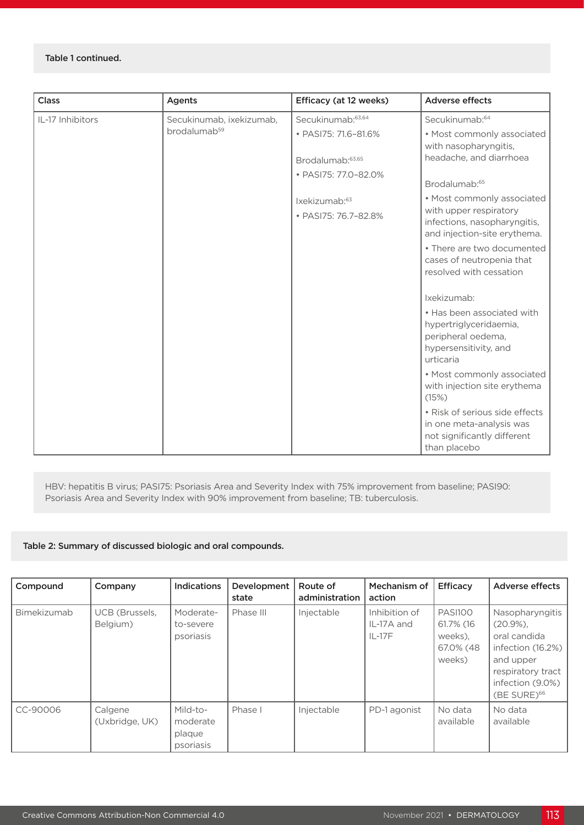#### Table 1 continued.

| Class            | Agents                   | Efficacy (at 12 weeks)                                                       | <b>Adverse effects</b>                                                                                           |
|------------------|--------------------------|------------------------------------------------------------------------------|------------------------------------------------------------------------------------------------------------------|
| IL-17 Inhibitors | Secukinumab, ixekizumab, | Secukinumab: 63,64                                                           | Secukinumab: <sup>64</sup>                                                                                       |
|                  | brodalumab <sup>59</sup> | • PASI75: 71.6-81.6%<br>Brodalumab: <sup>63,65</sup><br>• PASI75: 77.0-82.0% | • Most commonly associated<br>with nasopharyngitis,<br>headache, and diarrhoea<br>Brodalumab: <sup>65</sup>      |
|                  |                          | Ixekizumab:63                                                                | • Most commonly associated                                                                                       |
|                  |                          | · PASI75: 76.7-82.8%                                                         | with upper respiratory<br>infections, nasopharyngitis,<br>and injection-site erythema.                           |
|                  |                          |                                                                              | • There are two documented<br>cases of neutropenia that<br>resolved with cessation                               |
|                  |                          |                                                                              | Ixekizumab:                                                                                                      |
|                  |                          |                                                                              | • Has been associated with<br>hypertriglyceridaemia,<br>peripheral oedema,<br>hypersensitivity, and<br>urticaria |
|                  |                          |                                                                              | • Most commonly associated<br>with injection site erythema<br>(15%)                                              |
|                  |                          |                                                                              | • Risk of serious side effects<br>in one meta-analysis was<br>not significantly different<br>than placebo        |

HBV: hepatitis B virus; PASI75: Psoriasis Area and Severity Index with 75% improvement from baseline; PASI90: Psoriasis Area and Severity Index with 90% improvement from baseline; TB: tuberculosis.

#### Table 2: Summary of discussed biologic and oral compounds.

| Compound    | Company                    | <b>Indications</b>                          | Development<br>state | Route of<br>administration | Mechanism of<br>action                  | <b>Efficacy</b>                                               | <b>Adverse effects</b>                                                                                                                          |
|-------------|----------------------------|---------------------------------------------|----------------------|----------------------------|-----------------------------------------|---------------------------------------------------------------|-------------------------------------------------------------------------------------------------------------------------------------------------|
| Bimekizumab | UCB (Brussels,<br>Belgium) | Moderate-<br>to-severe<br>psoriasis         | Phase III            | Injectable                 | Inhibition of<br>IL-17A and<br>$IL-17F$ | <b>PASI100</b><br>61.7% (16<br>weeks).<br>67.0% (48<br>weeks) | Nasopharyngitis<br>$(20.9\%)$<br>oral candida<br>infection (16.2%)<br>and upper<br>respiratory tract<br>infection (9.0%)<br>$(BE$ SURE $)^{66}$ |
| CC-90006    | Calgene<br>(Uxbridge, UK)  | Mild-to-<br>moderate<br>plaque<br>psoriasis | Phase I              | Injectable                 | PD-1 agonist                            | No data<br>available                                          | No data<br>available                                                                                                                            |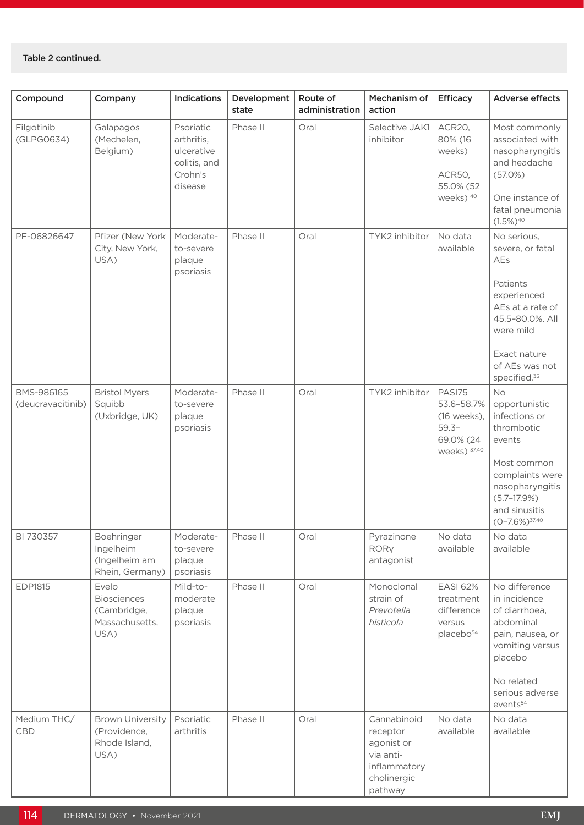| Compound                        | Company                                                              | Indications                                                                 | Development<br>state | Route of<br>administration | Mechanism of<br>action                                                                       | Efficacy                                                                      | Adverse effects                                                                                                                                                                     |
|---------------------------------|----------------------------------------------------------------------|-----------------------------------------------------------------------------|----------------------|----------------------------|----------------------------------------------------------------------------------------------|-------------------------------------------------------------------------------|-------------------------------------------------------------------------------------------------------------------------------------------------------------------------------------|
| Filgotinib<br>(GLPG0634)        | Galapagos<br>(Mechelen,<br>Belgium)                                  | Psoriatic<br>arthritis,<br>ulcerative<br>colitis, and<br>Crohn's<br>disease | Phase II             | Oral                       | Selective JAK1<br>inhibitor                                                                  | ACR20,<br>80% (16<br>weeks)<br>ACR50,<br>55.0% (52<br>weeks) 40               | Most commonly<br>associated with<br>nasopharyngitis<br>and headache<br>(57.0%)<br>One instance of<br>fatal pneumonia<br>$(1.5\%)^{40}$                                              |
| PF-06826647                     | Pfizer (New York<br>City, New York,<br>USA)                          | Moderate-<br>to-severe<br>plaque<br>psoriasis                               | Phase II             | Oral                       | TYK2 inhibitor                                                                               | No data<br>available                                                          | No serious,<br>severe, or fatal<br>AEs<br>Patients<br>experienced<br>AEs at a rate of<br>45.5-80.0%. All<br>were mild<br>Exact nature<br>of AEs was not<br>specified. <sup>35</sup> |
| BMS-986165<br>(deucravacitinib) | <b>Bristol Myers</b><br>Squibb<br>(Uxbridge, UK)                     | Moderate-<br>to-severe<br>plaque<br>psoriasis                               | Phase II             | Oral                       | TYK2 inhibitor                                                                               | PASI75<br>53.6-58.7%<br>(16 weeks),<br>$59.3-$<br>69.0% (24<br>weeks) 37,40   | No<br>opportunistic<br>infections or<br>thrombotic<br>events<br>Most common<br>complaints were<br>nasopharyngitis<br>$(5.7-17.9%)$<br>and sinusitis<br>$(0-7.6\%)$ <sup>37,40</sup> |
| BI 730357                       | Boehringer<br>Ingelheim<br>(Ingelheim am<br>Rhein, Germany)          | Moderate-<br>to-severe<br>plaque<br>psoriasis                               | Phase II             | Oral                       | Pyrazinone<br><b>RORY</b><br>antagonist                                                      | No data<br>available                                                          | No data<br>available                                                                                                                                                                |
| <b>EDP1815</b>                  | Evelo<br><b>Biosciences</b><br>(Cambridge,<br>Massachusetts,<br>USA) | Mild-to-<br>moderate<br>plaque<br>psoriasis                                 | Phase II             | Oral                       | Monoclonal<br>strain of<br>Prevotella<br>histicola                                           | <b>EASI 62%</b><br>treatment<br>difference<br>versus<br>placebo <sup>54</sup> | No difference<br>in incidence<br>of diarrhoea,<br>abdominal<br>pain, nausea, or<br>vomiting versus<br>placebo<br>No related<br>serious adverse<br>events <sup>54</sup>              |
| Medium THC/<br>CBD              | <b>Brown University</b><br>(Providence,<br>Rhode Island,<br>USA)     | Psoriatic<br>arthritis                                                      | Phase II             | Oral                       | Cannabinoid<br>receptor<br>agonist or<br>via anti-<br>inflammatory<br>cholinergic<br>pathway | No data<br>available                                                          | No data<br>available                                                                                                                                                                |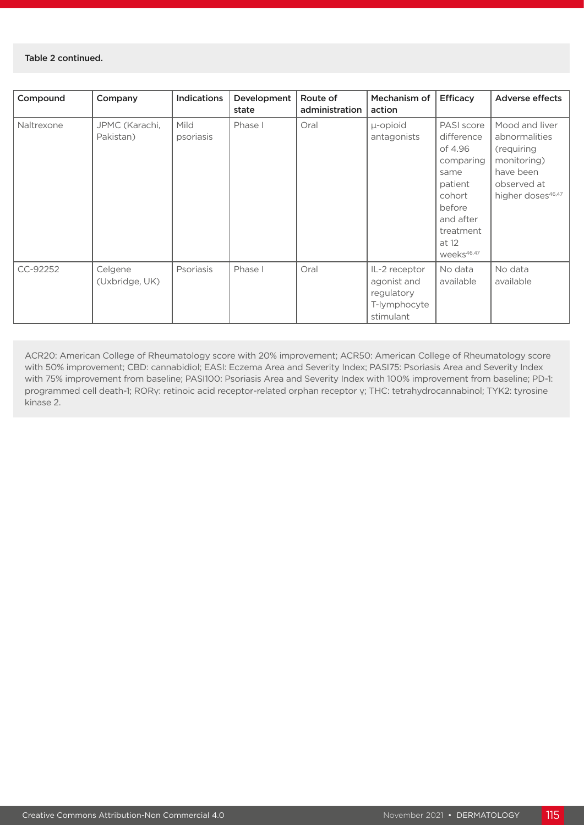#### Table 2 continued.

| Compound   | Company                     | Indications       | Development<br>state | Route of<br>administration | Mechanism of<br>action                                                  | Efficacy                                                                                                                                             | <b>Adverse effects</b>                                                                                                    |
|------------|-----------------------------|-------------------|----------------------|----------------------------|-------------------------------------------------------------------------|------------------------------------------------------------------------------------------------------------------------------------------------------|---------------------------------------------------------------------------------------------------------------------------|
| Naltrexone | JPMC (Karachi,<br>Pakistan) | Mild<br>psoriasis | Phase I              | Oral                       | µ-opioid<br>antagonists                                                 | PASI score<br>difference<br>of 4.96<br>comparing<br>same<br>patient<br>cohort<br>before<br>and after<br>treatment<br>at 12<br>weeks <sup>46,47</sup> | Mood and liver<br>abnormalities<br>(requiring<br>monitoring)<br>have been<br>observed at<br>higher doses <sup>46,47</sup> |
| CC-92252   | Celgene<br>(Uxbridge, UK)   | Psoriasis         | Phase I              | Oral                       | IL-2 receptor<br>agonist and<br>regulatory<br>T-lymphocyte<br>stimulant | No data<br>available                                                                                                                                 | No data<br>available                                                                                                      |

ACR20: American College of Rheumatology score with 20% improvement; ACR50: American College of Rheumatology score with 50% improvement; CBD: cannabidiol; EASI: Eczema Area and Severity Index; PASI75: Psoriasis Area and Severity Index with 75% improvement from baseline; PASI100: Psoriasis Area and Severity Index with 100% improvement from baseline; PD-1: programmed cell death-1; RORγ: retinoic acid receptor-related orphan receptor γ; THC: tetrahydrocannabinol; TYK2: tyrosine kinase 2.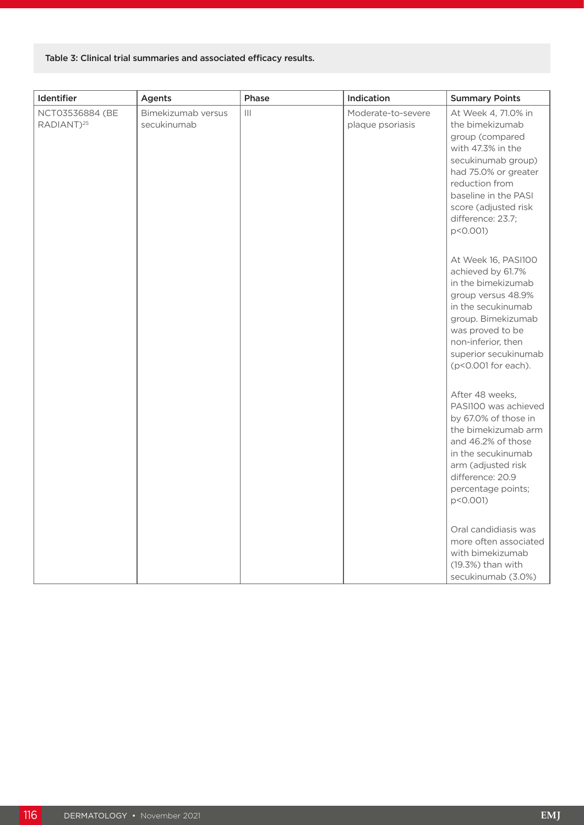### Table 3: Clinical trial summaries and associated efficacy results.

| Identifier                                | Agents                            | Phase          | Indication                             | <b>Summary Points</b>                                                                                                                                                                                                           |
|-------------------------------------------|-----------------------------------|----------------|----------------------------------------|---------------------------------------------------------------------------------------------------------------------------------------------------------------------------------------------------------------------------------|
| NCT03536884 (BE<br>RADIANT) <sup>25</sup> | Bimekizumab versus<br>secukinumab | $\mathbf{III}$ | Moderate-to-severe<br>plaque psoriasis | At Week 4, 71.0% in<br>the bimekizumab<br>group (compared<br>with 47.3% in the<br>secukinumab group)<br>had 75.0% or greater<br>reduction from<br>baseline in the PASI<br>score (adjusted risk<br>difference: 23.7;<br>p<0.001) |
|                                           |                                   |                |                                        | At Week 16, PASI100<br>achieved by 61.7%<br>in the bimekizumab<br>group versus 48.9%<br>in the secukinumab<br>group. Bimekizumab<br>was proved to be<br>non-inferior, then<br>superior secukinumab<br>(p<0.001 for each).       |
|                                           |                                   |                |                                        | After 48 weeks,<br>PASI100 was achieved<br>by 67.0% of those in<br>the bimekizumab arm<br>and 46.2% of those<br>in the secukinumab<br>arm (adjusted risk<br>difference: 20.9<br>percentage points;<br>p<0.001)                  |
|                                           |                                   |                |                                        | Oral candidiasis was<br>more often associated<br>with bimekizumab<br>(19.3%) than with<br>secukinumab (3.0%)                                                                                                                    |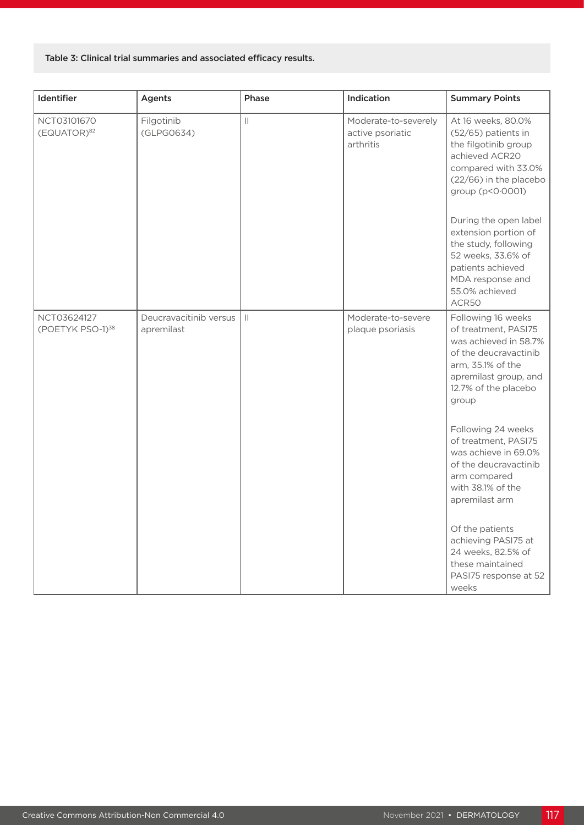#### Table 3: Clinical trial summaries and associated efficacy results.

| Identifier                                  | Agents                               | Phase         | Indication                                            | <b>Summary Points</b>                                                                                                                                                                                                                                                                                                             |
|---------------------------------------------|--------------------------------------|---------------|-------------------------------------------------------|-----------------------------------------------------------------------------------------------------------------------------------------------------------------------------------------------------------------------------------------------------------------------------------------------------------------------------------|
| NCT03101670<br>(EQUATOR) <sup>82</sup>      | Filgotinib<br>(GLPG0634)             | $\vert\vert$  | Moderate-to-severely<br>active psoriatic<br>arthritis | At 16 weeks, 80.0%<br>(52/65) patients in<br>the filgotinib group<br>achieved ACR20<br>compared with 33.0%<br>(22/66) in the placebo<br>group (p<0.0001)<br>During the open label<br>extension portion of<br>the study, following<br>52 weeks, 33.6% of<br>patients achieved<br>MDA response and<br>55.0% achieved                |
|                                             |                                      |               |                                                       | ACR50                                                                                                                                                                                                                                                                                                                             |
| NCT03624127<br>(POETYK PSO-1) <sup>38</sup> | Deucravacitinib versus<br>apremilast | $\mathbf{  }$ | Moderate-to-severe<br>plaque psoriasis                | Following 16 weeks<br>of treatment, PASI75<br>was achieved in 58.7%<br>of the deucravactinib<br>arm, 35.1% of the<br>apremilast group, and<br>12.7% of the placebo<br>group<br>Following 24 weeks<br>of treatment, PASI75<br>was achieve in 69.0%<br>of the deucravactinib<br>arm compared<br>with 38.1% of the<br>apremilast arm |
|                                             |                                      |               |                                                       | Of the patients<br>achieving PASI75 at<br>24 weeks, 82.5% of<br>these maintained<br>PASI75 response at 52<br>weeks                                                                                                                                                                                                                |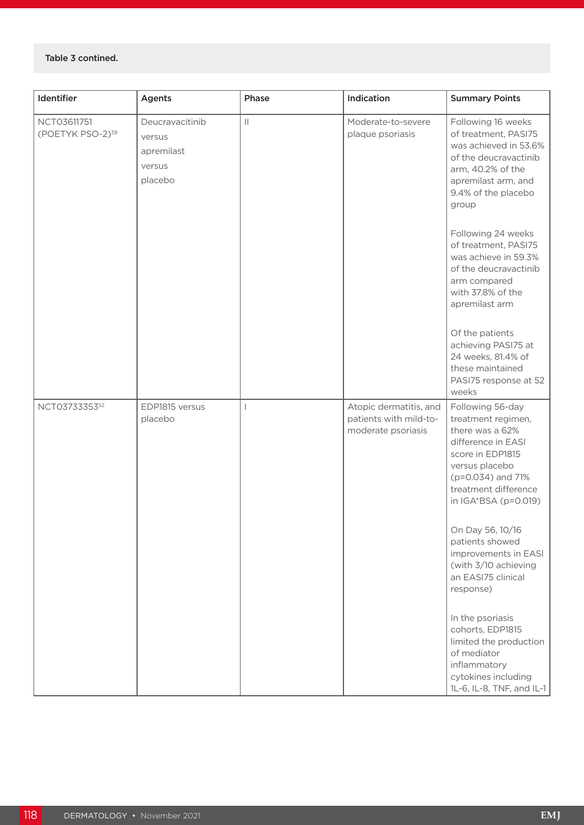#### Table 3 contined.

| Identifier                                  | <b>Agents</b>                                                | Phase        | Indication                                                             | <b>Summary Points</b>                                                                                                                                                                                          |
|---------------------------------------------|--------------------------------------------------------------|--------------|------------------------------------------------------------------------|----------------------------------------------------------------------------------------------------------------------------------------------------------------------------------------------------------------|
| NCT03611751<br>(POETYK PSO-2) <sup>39</sup> | Deucravacitinib<br>versus<br>apremilast<br>versus<br>placebo | $\vert\vert$ | Moderate-to-severe<br>plaque psoriasis                                 | Following 16 weeks<br>of treatment, PASI75<br>was achieved in 53.6%<br>of the deucravactinib<br>arm, 40.2% of the<br>apremilast arm, and<br>9.4% of the placebo<br>group                                       |
|                                             |                                                              |              |                                                                        | Following 24 weeks<br>of treatment, PASI75<br>was achieve in 59.3%<br>of the deucravactinib<br>arm compared<br>with 37.8% of the<br>apremilast arm                                                             |
|                                             |                                                              |              |                                                                        | Of the patients<br>achieving PASI75 at<br>24 weeks, 81.4% of<br>these maintained<br>PASI75 response at 52<br>weeks                                                                                             |
| NCT0373335352                               | EDP1815 versus<br>placebo                                    | T            | Atopic dermatitis, and<br>patients with mild-to-<br>moderate psoriasis | Following 56-day<br>treatment regimen,<br>there was a 62%<br>difference in EASI<br>score in EDP1815<br>versus placebo<br>(p=0.034) and 71%<br>treatment difference<br>in IGA*BSA (p=0.019)<br>On Day 56, 10/16 |
|                                             |                                                              |              |                                                                        | patients showed<br>improvements in EASI<br>(with 3/10 achieving<br>an EASI75 clinical<br>response)                                                                                                             |
|                                             |                                                              |              |                                                                        | In the psoriasis<br>cohorts, EDP1815<br>limited the production<br>of mediator<br>inflammatory<br>cytokines including<br>1L-6, IL-8, TNF, and IL-1                                                              |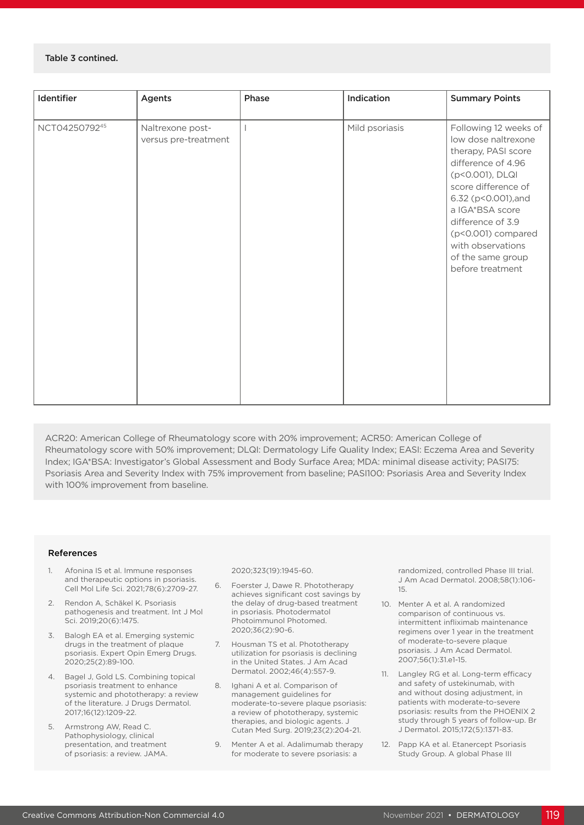#### Table 3 contined.

| Identifier    | Agents                                   | Phase | Indication     | <b>Summary Points</b>                                                                                                                                                                                                                                                                  |
|---------------|------------------------------------------|-------|----------------|----------------------------------------------------------------------------------------------------------------------------------------------------------------------------------------------------------------------------------------------------------------------------------------|
| NCT0425079245 | Naltrexone post-<br>versus pre-treatment |       | Mild psoriasis | Following 12 weeks of<br>low dose naltrexone<br>therapy, PASI score<br>difference of 4.96<br>(p<0.001), DLQI<br>score difference of<br>6.32 (p<0.001), and<br>a IGA*BSA score<br>difference of 3.9<br>(p<0.001) compared<br>with observations<br>of the same group<br>before treatment |

ACR20: American College of Rheumatology score with 20% improvement; ACR50: American College of Rheumatology score with 50% improvement; DLQI: Dermatology Life Quality Index; EASI: Eczema Area and Severity Index; IGA\*BSA: Investigator's Global Assessment and Body Surface Area; MDA: minimal disease activity; PASI75: Psoriasis Area and Severity Index with 75% improvement from baseline; PASI100: Psoriasis Area and Severity Index with 100% improvement from baseline.

#### References

- 1. Afonina IS et al. Immune responses and therapeutic options in psoriasis. Cell Mol Life Sci. 2021;78(6):2709-27.
- 2. Rendon A, Schäkel K. Psoriasis pathogenesis and treatment. Int J Mol Sci. 2019;20(6):1475.
- 3. Balogh EA et al. Emerging systemic drugs in the treatment of plaque psoriasis. Expert Opin Emerg Drugs. 2020;25(2):89-100.
- 4. Bagel J, Gold LS. Combining topical psoriasis treatment to enhance systemic and phototherapy: a review of the literature. J Drugs Dermatol. 2017;16(12):1209-22.
- 5. Armstrong AW, Read C. Pathophysiology, clinical presentation, and treatment of psoriasis: a review. JAMA.

2020;323(19):1945-60.

- 6. Foerster J, Dawe R. Phototherapy achieves significant cost savings by the delay of drug-based treatment in psoriasis. Photodermatol Photoimmunol Photomed. 2020;36(2):90-6.
- 7. Housman TS et al. Phototherapy utilization for psoriasis is declining in the United States. J Am Acad Dermatol. 2002;46(4):557-9.
- 8. Ighani A et al. Comparison of management guidelines for moderate-to-severe plaque psoriasis: a review of phototherapy, systemic therapies, and biologic agents. J Cutan Med Surg. 2019;23(2):204-21.
- 9. Menter A et al. Adalimumab therapy for moderate to severe psoriasis: a

randomized, controlled Phase III trial. J Am Acad Dermatol. 2008;58(1):106- 15.

- 10. Menter A et al. A randomized comparison of continuous vs. intermittent infliximab maintenance regimens over 1 year in the treatment of moderate-to-severe plaque psoriasis. J Am Acad Dermatol. 2007;56(1):31.e1-15.
- 11. Langley RG et al. Long-term efficacy and safety of ustekinumab, with and without dosing adjustment, in patients with moderate-to-severe psoriasis: results from the PHOENIX 2 study through 5 years of follow-up. Br J Dermatol. 2015;172(5):1371-83.
- 12. Papp KA et al. Etanercept Psoriasis Study Group. A global Phase III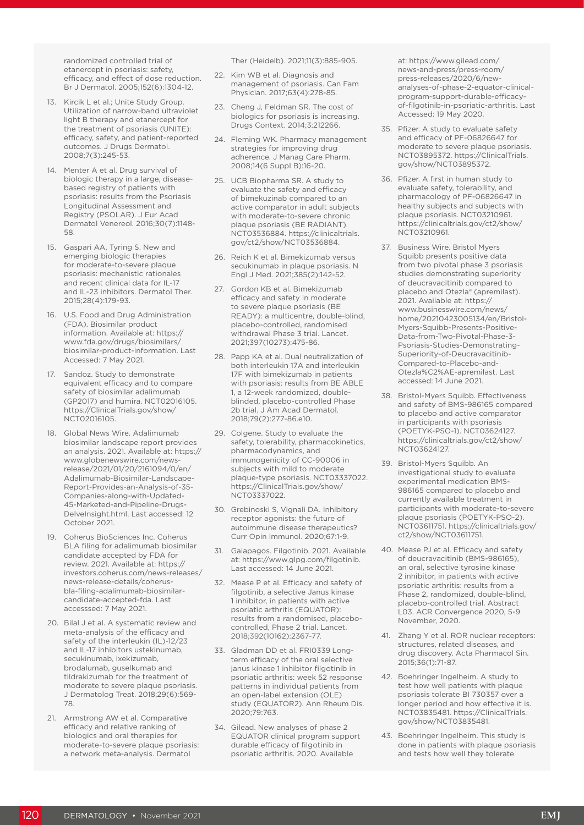randomized controlled trial of etanercept in psoriasis: safety, efficacy, and effect of dose reduction. Br J Dermatol. 2005;152(6):1304-12.

- 13. Kircik L et al.; Unite Study Group. Utilization of narrow-band ultraviolet light B therapy and etanercept for the treatment of psoriasis (UNITE): efficacy, safety, and patient-reported outcomes. J Drugs Dermatol. 2008;7(3):245-53.
- 14. Menter A et al. Drug survival of biologic therapy in a large, diseasebased registry of patients with psoriasis: results from the Psoriasis Longitudinal Assessment and Registry (PSOLAR). J Eur Acad Dermatol Venereol. 2016;30(7):1148- 58.
- 15. Gaspari AA, Tyring S. New and emerging biologic therapies for moderate-to-severe plaque psoriasis: mechanistic rationales and recent clinical data for IL-17 and IL-23 inhibitors. Dermatol Ther. 2015;28(4):179-93.
- 16. U.S. Food and Drug Administration (FDA). Biosimilar product information. Available at: https:// www.fda.gov/drugs/biosimilars/ biosimilar-product-information. Last Accessed: 7 May 2021.
- 17. Sandoz. Study to demonstrate equivalent efficacy and to compare safety of biosimilar adalimumab (GP2017) and humira. NCT02016105. https://ClinicalTrials.gov/show/ NCT02016105.
- 18. Global News Wire. Adalimumab biosimilar landscape report provides an analysis. 2021. Available at: https:// www.globenewswire.com/newsrelease/2021/01/20/2161094/0/en/ Adalimumab-Biosimilar-Landscape-Report-Provides-an-Analysis-of-35- Companies-along-with-Updated-45-Marketed-and-Pipeline-Drugs-DelveInsight.html. Last accessed: 12 October 2021.
- 19. Coherus BioSciences Inc. Coherus BLA filing for adalimumab biosimilar candidate accepted by FDA for review. 2021. Available at: https:// investors.coherus.com/news-releases/ news-release-details/coherusbla-filing-adalimumab-biosimilarcandidate-accepted-fda. Last accesssed: 7 May 2021.
- 20. Bilal J et al. A systematic review and meta-analysis of the efficacy and safety of the interleukin (IL)-12/23 and IL-17 inhibitors ustekinumab. secukinumab, ixekizumab, brodalumab, guselkumab and tildrakizumab for the treatment of moderate to severe plaque psoriasis. J Dermatolog Treat. 2018;29(6):569- 78.
- 21. Armstrong AW et al. Comparative efficacy and relative ranking of biologics and oral therapies for moderate-to-severe plaque psoriasis: a network meta-analysis. Dermatol

Ther (Heidelb). 2021;11(3):885-905.

- 22. Kim WB et al. Diagnosis and management of psoriasis. Can Fam Physician. 2017;63(4):278-85.
- 23. Cheng J, Feldman SR. The cost of biologics for psoriasis is increasing. Drugs Context. 2014;3:212266.
- 24. Fleming WK. Pharmacy management strategies for improving drug adherence. J Manag Care Pharm. 2008;14(6 Suppl B):16-20.
- 25. UCB Biopharma SR. A study to evaluate the safety and efficacy of bimekuzinab compared to an active comparator in adult subjects with moderate-to-severe chronic plaque psoriasis (BE RADIANT). NCT03536884. https://clinicaltrials. gov/ct2/show/NCT03536884.
- 26. Reich K et al. Bimekizumab versus secukinumab in plaque psoriasis. N Engl J Med. 2021;385(2):142-52.
- 27. Gordon KB et al. Bimekizumab efficacy and safety in moderate to severe plaque psoriasis (BE READY): a multicentre, double-blind, placebo-controlled, randomised withdrawal Phase 3 trial. Lancet. 2021;397(10273):475-86.
- 28. Papp KA et al. Dual neutralization of both interleukin 17A and interleukin 17F with bimekizumab in patients with psoriasis: results from BE ABLE 1, a 12-week randomized, doubleblinded, placebo-controlled Phase 2b trial. J Am Acad Dermatol. 2018;79(2):277-86.e10.
- 29. Colgene. Study to evaluate the safety, tolerability, pharmacokinetics, pharmacodynamics, and immunogenicity of CC-90006 in subjects with mild to moderate plaque-type psoriasis. NCT03337022. https://ClinicalTrials.gov/show/ NCT03337022.
- 30. Grebinoski S, Vignali DA. Inhibitory receptor agonists: the future of autoimmune disease therapeutics? Curr Opin Immunol. 2020;67:1-9.
- 31. Galapagos. Filgotinib. 2021. Available at: https://www.glpg.com/filgotinib. Last accessed: 14 June 2021.
- 32. Mease P et al. Efficacy and safety of filgotinib, a selective Janus kinase 1 inhibitor, in patients with active psoriatic arthritis (EQUATOR): results from a randomised, placebocontrolled, Phase 2 trial. Lancet. 2018;392(10162):2367-77.
- 33. Gladman DD et al. FRI0339 Longterm efficacy of the oral selective janus kinase 1 inhibitor filgotinib in psoriatic arthritis: week 52 response patterns in individual patients from an open-label extension (OLE) study (EQUATOR2). Ann Rheum Dis. 2020;79:763.
- 34. Gilead. New analyses of phase 2 EQUATOR clinical program support durable efficacy of filgotinib in psoriatic arthritis. 2020. Available

at: https://www.gilead.com/ news-and-press/press-room/ press-releases/2020/6/newanalyses-of-phase-2-equator-clinicalprogram-support-durable-efficacyof-filgotinib-in-psoriatic-arthritis. Last Accessed: 19 May 2020.

- 35. Pfizer. A study to evaluate safety and efficacy of PF-06826647 for moderate to severe plaque psoriasis. NCT03895372. https://ClinicalTrials. gov/show/NCT03895372.
- 36. Pfizer. A first in human study to evaluate safety, tolerability, and pharmacology of PF-06826647 in healthy subjects and subjects with plaque psoriasis. NCT03210961. https://clinicaltrials.gov/ct2/show/ NCT03210961.
- 37. Business Wire. Bristol Myers Squibb presents positive data from two pivotal phase 3 psoriasis studies demonstrating superiority of deucravacitinib compared to placebo and Otezla® (apremilast). 2021. Available at: https:// www.businesswire.com/news/ home/20210423005134/en/Bristol-Myers-Squibb-Presents-Positive-Data-from-Two-Pivotal-Phase-3- Psoriasis-Studies-Demonstrating-Superiority-of-Deucravacitinib-Compared-to-Placebo-and-Otezla%C2%AE-apremilast. Last accessed: 14 June 2021.
- 38. Bristol-Myers Squibb. Effectiveness and safety of BMS-986165 compared to placebo and active comparator in participants with psoriasis (POETYK-PSO-1). NCT03624127. https://clinicaltrials.gov/ct2/show/ NCT03624127.
- 39. Bristol-Myers Squibb. An investigational study to evaluate experimental medication BMS-986165 compared to placebo and currently available treatment in participants with moderate-to-severe plaque psoriasis (POETYK-PSO-2). NCT03611751. https://clinicaltrials.gov/ ct2/show/NCT03611751.
- 40. Mease PJ et al. Efficacy and safety of deucravacitinib (BMS-986165), an oral, selective tyrosine kinase 2 inhibitor, in patients with active psoriatic arthritis: results from a Phase 2, randomized, double-blind, placebo-controlled trial. Abstract L03. ACR Convergence 2020, 5-9 November, 2020.
- 41. Zhang Y et al. ROR nuclear receptors: structures, related diseases, and drug discovery. Acta Pharmacol Sin. 2015;36(1):71-87.
- 42. Boehringer Ingelheim. A study to test how well patients with plaque psoriasis tolerate BI 730357 over a longer period and how effective it is. NCT03835481. https://ClinicalTrials. gov/show/NCT03835481.
- 43. Boehringer Ingelheim. This study is done in patients with plaque psoriasis and tests how well they tolerate